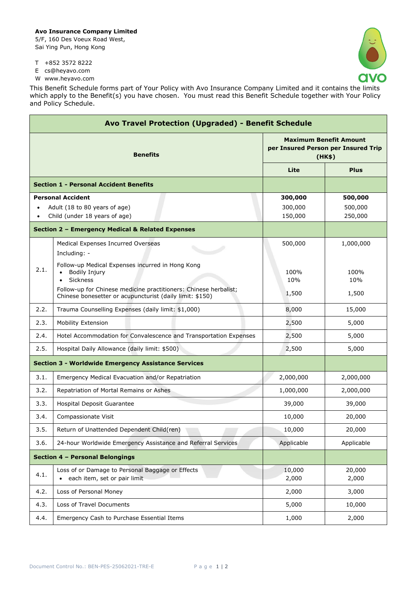## **Avo Insurance Company Limited**

5/F, 160 Des Voeux Road West, Sai Ying Pun, Hong Kong



٦

- T +852 3572 8222
- E cs@heyavo.com

r

W www.heyavo.com

This Benefit Schedule forms part of Your Policy with Avo Insurance Company Limited and it contains the limits which apply to the Benefit(s) you have chosen. You must read this Benefit Schedule together with Your Policy and Policy Schedule.

| Avo Travel Protection (Upgraded) - Benefit Schedule |                                                                                                                              |                                                                                |                 |  |
|-----------------------------------------------------|------------------------------------------------------------------------------------------------------------------------------|--------------------------------------------------------------------------------|-----------------|--|
| <b>Benefits</b>                                     |                                                                                                                              | <b>Maximum Benefit Amount</b><br>per Insured Person per Insured Trip<br>(HK\$) |                 |  |
|                                                     |                                                                                                                              | Lite                                                                           | <b>Plus</b>     |  |
|                                                     | <b>Section 1 - Personal Accident Benefits</b>                                                                                |                                                                                |                 |  |
|                                                     | <b>Personal Accident</b>                                                                                                     | 300,000                                                                        | 500,000         |  |
| Adult (18 to 80 years of age)                       |                                                                                                                              | 300,000                                                                        | 500,000         |  |
|                                                     | Child (under 18 years of age)                                                                                                | 150,000                                                                        | 250,000         |  |
|                                                     | Section 2 - Emergency Medical & Related Expenses                                                                             |                                                                                |                 |  |
|                                                     | Medical Expenses Incurred Overseas<br>Including: -                                                                           | 500,000                                                                        | 1,000,000       |  |
| 2.1.                                                | Follow-up Medical Expenses incurred in Hong Kong<br><b>Bodily Injury</b><br>Sickness                                         | 100%<br>10%                                                                    | 100%<br>10%     |  |
|                                                     | Follow-up for Chinese medicine practitioners: Chinese herbalist;<br>Chinese bonesetter or acupuncturist (daily limit: \$150) | 1,500                                                                          | 1,500           |  |
| 2.2.                                                | Trauma Counselling Expenses (daily limit: \$1,000)                                                                           | 8,000                                                                          | 15,000          |  |
| 2.3.                                                | Mobility Extension                                                                                                           | 2,500                                                                          | 5,000           |  |
| 2.4.                                                | Hotel Accommodation for Convalescence and Transportation Expenses                                                            | 2,500                                                                          | 5,000           |  |
| 2.5.                                                | Hospital Daily Allowance (daily limit: \$500)                                                                                | 2,500                                                                          | 5,000           |  |
|                                                     | <b>Section 3 - Worldwide Emergency Assistance Services</b>                                                                   |                                                                                |                 |  |
| 3.1.                                                | Emergency Medical Evacuation and/or Repatriation                                                                             | 2,000,000                                                                      | 2,000,000       |  |
| 3.2.                                                | Repatriation of Mortal Remains or Ashes                                                                                      | 1,000,000                                                                      | 2,000,000       |  |
| 3.3.                                                | Hospital Deposit Guarantee                                                                                                   | 39,000                                                                         | 39,000          |  |
| 3.4.                                                | Compassionate Visit                                                                                                          | 10,000                                                                         | 20,000          |  |
| 3.5.                                                | Return of Unattended Dependent Child(ren)                                                                                    | 10,000                                                                         | 20,000          |  |
| 3.6.                                                | 24-hour Worldwide Emergency Assistance and Referral Services                                                                 | Applicable                                                                     | Applicable      |  |
|                                                     | Section 4 - Personal Belongings                                                                                              |                                                                                |                 |  |
| 4.1.                                                | Loss of or Damage to Personal Baggage or Effects<br>each item, set or pair limit<br>$\bullet$                                | 10,000<br>2,000                                                                | 20,000<br>2,000 |  |
| 4.2.                                                | Loss of Personal Money                                                                                                       | 2,000                                                                          | 3,000           |  |
| 4.3.                                                | Loss of Travel Documents                                                                                                     | 5,000                                                                          | 10,000          |  |
| 4.4.                                                | Emergency Cash to Purchase Essential Items                                                                                   | 1,000                                                                          | 2,000           |  |
|                                                     |                                                                                                                              |                                                                                |                 |  |